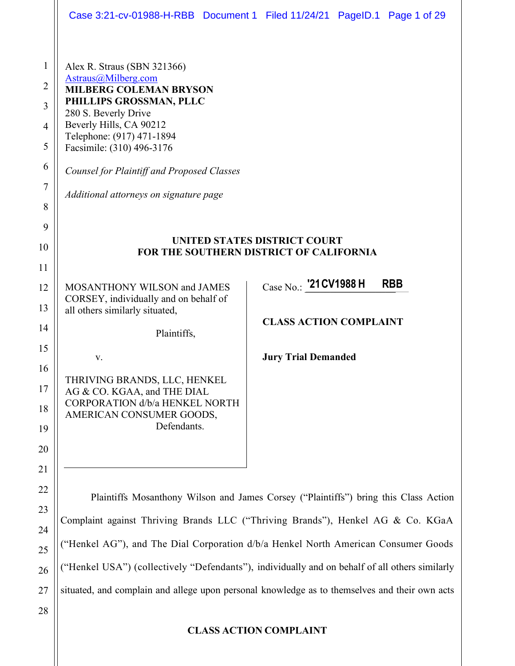|                  |                                                                                    | Case 3:21-cv-01988-H-RBB Document 1 Filed 11/24/21 PageID.1 Page 1 of 29                       |  |
|------------------|------------------------------------------------------------------------------------|------------------------------------------------------------------------------------------------|--|
|                  |                                                                                    |                                                                                                |  |
| $\mathbf{1}$     | Alex R. Straus (SBN 321366)                                                        |                                                                                                |  |
| $\overline{2}$   | Astraus@Milberg.com<br><b>MILBERG COLEMAN BRYSON</b>                               |                                                                                                |  |
| 3                | PHILLIPS GROSSMAN, PLLC<br>280 S. Beverly Drive                                    |                                                                                                |  |
| 4                | Beverly Hills, CA 90212                                                            |                                                                                                |  |
| 5                | Telephone: (917) 471-1894<br>Facsimile: (310) 496-3176                             |                                                                                                |  |
| 6                | <b>Counsel for Plaintiff and Proposed Classes</b>                                  |                                                                                                |  |
| $\boldsymbol{7}$ | Additional attorneys on signature page                                             |                                                                                                |  |
| 8                |                                                                                    |                                                                                                |  |
| 9                |                                                                                    |                                                                                                |  |
| 10               |                                                                                    | <b>UNITED STATES DISTRICT COURT</b><br>FOR THE SOUTHERN DISTRICT OF CALIFORNIA                 |  |
| 11               |                                                                                    |                                                                                                |  |
| 12               | MOSANTHONY WILSON and JAMES                                                        | Case No.: '21 CV1988 H<br><b>RBB</b>                                                           |  |
| 13               | CORSEY, individually and on behalf of<br>all others similarly situated,            |                                                                                                |  |
| 14               | Plaintiffs,                                                                        | <b>CLASS ACTION COMPLAINT</b>                                                                  |  |
| 15               |                                                                                    |                                                                                                |  |
| 16               | V.                                                                                 | <b>Jury Trial Demanded</b>                                                                     |  |
| 17               | THRIVING BRANDS, LLC, HENKEL<br>AG & CO. KGAA, and THE DIAL                        |                                                                                                |  |
| 18               | <b>CORPORATION d/b/a HENKEL NORTH</b>                                              |                                                                                                |  |
| 19               | AMERICAN CONSUMER GOODS,<br>Defendants.                                            |                                                                                                |  |
| 20               |                                                                                    |                                                                                                |  |
| 21               |                                                                                    |                                                                                                |  |
| 22               |                                                                                    |                                                                                                |  |
| 23               |                                                                                    | Plaintiffs Mosanthony Wilson and James Corsey ("Plaintiffs") bring this Class Action           |  |
| 24               | Complaint against Thriving Brands LLC ("Thriving Brands"), Henkel AG & Co. KGaA    |                                                                                                |  |
| 25               | ("Henkel AG"), and The Dial Corporation d/b/a Henkel North American Consumer Goods |                                                                                                |  |
| 26               |                                                                                    | ("Henkel USA") (collectively "Defendants"), individually and on behalf of all others similarly |  |

27 situated, and complain and allege upon personal knowledge as to themselves and their own acts

28

# **CLASS ACTION COMPLAINT**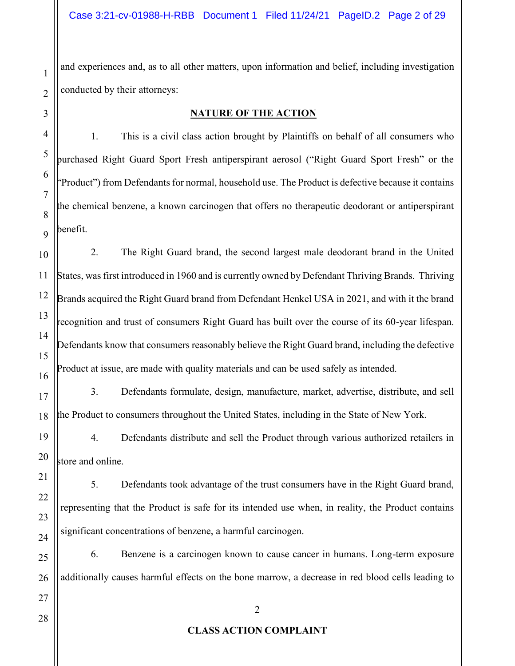and experiences and, as to all other matters, upon information and belief, including investigation conducted by their attorneys:

#### **NATURE OF THE ACTION**

1. This is a civil class action brought by Plaintiffs on behalf of all consumers who purchased Right Guard Sport Fresh antiperspirant aerosol ("Right Guard Sport Fresh" or the Product") from Defendants for normal, household use. The Product is defective because it contains the chemical benzene, a known carcinogen that offers no therapeutic deodorant or antiperspirant benefit.

2. The Right Guard brand, the second largest male deodorant brand in the United States, was first introduced in 1960 and is currently owned by Defendant Thriving Brands. Thriving Brands acquired the Right Guard brand from Defendant Henkel USA in 2021, and with it the brand recognition and trust of consumers Right Guard has built over the course of its 60-year lifespan. Defendants know that consumers reasonably believe the Right Guard brand, including the defective Product at issue, are made with quality materials and can be used safely as intended.

3. Defendants formulate, design, manufacture, market, advertise, distribute, and sell the Product to consumers throughout the United States, including in the State of New York.

4. Defendants distribute and sell the Product through various authorized retailers in store and online.

5. Defendants took advantage of the trust consumers have in the Right Guard brand, representing that the Product is safe for its intended use when, in reality, the Product contains significant concentrations of benzene, a harmful carcinogen.

6. Benzene is a carcinogen known to cause cancer in humans. Long-term exposure additionally causes harmful effects on the bone marrow, a decrease in red blood cells leading to

1

2

3

4

5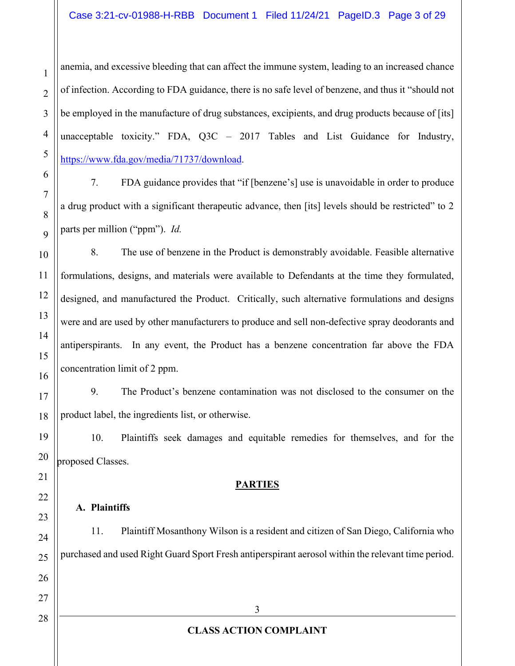anemia, and excessive bleeding that can affect the immune system, leading to an increased chance of infection. According to FDA guidance, there is no safe level of benzene, and thus it "should not be employed in the manufacture of drug substances, excipients, and drug products because of [its] unacceptable toxicity." FDA,  $Q3C - 2017$  Tables and List Guidance for Industry, https://www.fda.gov/media/71737/download.

7. FDA guidance provides that "if [benzene's] use is unavoidable in order to produce a drug product with a significant therapeutic advance, then [its] levels should be restricted" to 2 parts per million ("ppm"). *Id.* 

8. The use of benzene in the Product is demonstrably avoidable. Feasible alternative formulations, designs, and materials were available to Defendants at the time they formulated, designed, and manufactured the Product. Critically, such alternative formulations and designs were and are used by other manufacturers to produce and sell non-defective spray deodorants and antiperspirants. In any event, the Product has a benzene concentration far above the FDA concentration limit of 2 ppm.

9. The Product's benzene contamination was not disclosed to the consumer on the product label, the ingredients list, or otherwise.

10. Plaintiffs seek damages and equitable remedies for themselves, and for the proposed Classes.

## **PARTIES**

## **A. Plaintiffs**

3 **CLASS ACTION COMPLAINT** 11. Plaintiff Mosanthony Wilson is a resident and citizen of San Diego, California who purchased and used Right Guard Sport Fresh antiperspirant aerosol within the relevant time period.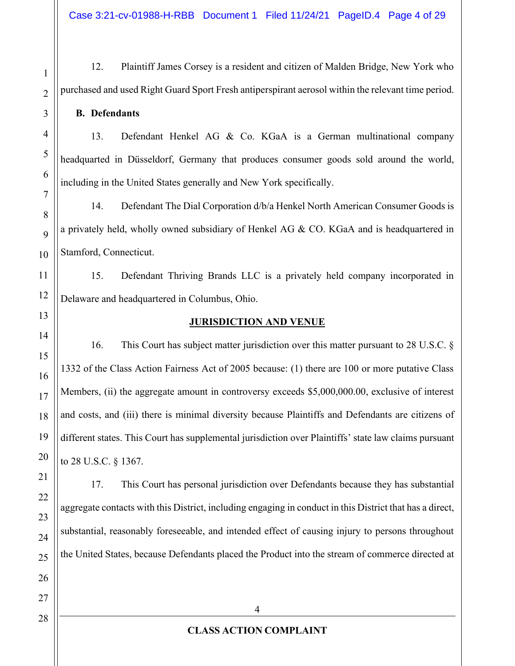Case 3:21-cv-01988-H-RBB Document 1 Filed 11/24/21 PageID.4 Page 4 of 29

12. Plaintiff James Corsey is a resident and citizen of Malden Bridge, New York who purchased and used Right Guard Sport Fresh antiperspirant aerosol within the relevant time period.

**B. Defendants**

13. Defendant Henkel AG & Co. KGaA is a German multinational company headquarted in Düsseldorf, Germany that produces consumer goods sold around the world, including in the United States generally and New York specifically.

14. Defendant The Dial Corporation d/b/a Henkel North American Consumer Goods is a privately held, wholly owned subsidiary of Henkel AG & CO. KGaA and is headquartered in Stamford, Connecticut.

15. Defendant Thriving Brands LLC is a privately held company incorporated in Delaware and headquartered in Columbus, Ohio.

## **JURISDICTION AND VENUE**

16. This Court has subject matter jurisdiction over this matter pursuant to 28 U.S.C. § 1332 of the Class Action Fairness Act of 2005 because: (1) there are 100 or more putative Class Members, (ii) the aggregate amount in controversy exceeds \$5,000,000.00, exclusive of interest and costs, and (iii) there is minimal diversity because Plaintiffs and Defendants are citizens of different states. This Court has supplemental jurisdiction over Plaintiffs' state law claims pursuant to 28 U.S.C. § 1367.

17. This Court has personal jurisdiction over Defendants because they has substantial aggregate contacts with this District, including engaging in conduct in this District that has a direct, substantial, reasonably foreseeable, and intended effect of causing injury to persons throughout the United States, because Defendants placed the Product into the stream of commerce directed at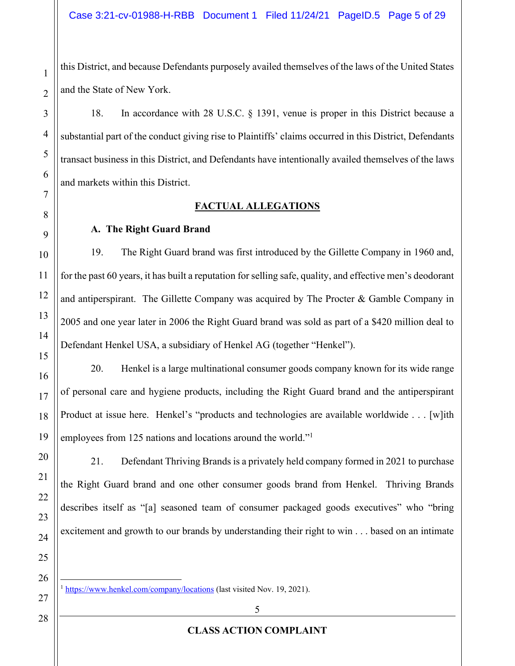this District, and because Defendants purposely availed themselves of the laws of the United States and the State of New York.

18. In accordance with 28 U.S.C. § 1391, venue is proper in this District because a substantial part of the conduct giving rise to Plaintiffs' claims occurred in this District, Defendants transact business in this District, and Defendants have intentionally availed themselves of the laws and markets within this District.

# **FACTUAL ALLEGATIONS**

## **A. The Right Guard Brand**

19. The Right Guard brand was first introduced by the Gillette Company in 1960 and, for the past 60 years, it has built a reputation for selling safe, quality, and effective men's deodorant and antiperspirant. The Gillette Company was acquired by The Procter  $\&$  Gamble Company in 2005 and one year later in 2006 the Right Guard brand was sold as part of a \$420 million deal to Defendant Henkel USA, a subsidiary of Henkel AG (together "Henkel").

20. Henkel is a large multinational consumer goods company known for its wide range of personal care and hygiene products, including the Right Guard brand and the antiperspirant Product at issue here. Henkel's "products and technologies are available worldwide . . . [w]ith employees from 125 nations and locations around the world.<sup>"1</sup>

21. Defendant Thriving Brands is a privately held company formed in 2021 to purchase the Right Guard brand and one other consumer goods brand from Henkel. Thriving Brands describes itself as "[a] seasoned team of consumer packaged goods executives" who "bring excitement and growth to our brands by understanding their right to win . . . based on an intimate

27

1

2

3

4

5

6

7

8

9

10

11

12

13

14

15

16

17

18

19

20

21

22

23

24

25

26

28

<sup>1</sup> https://www.henkel.com/company/locations (last visited Nov. 19, 2021).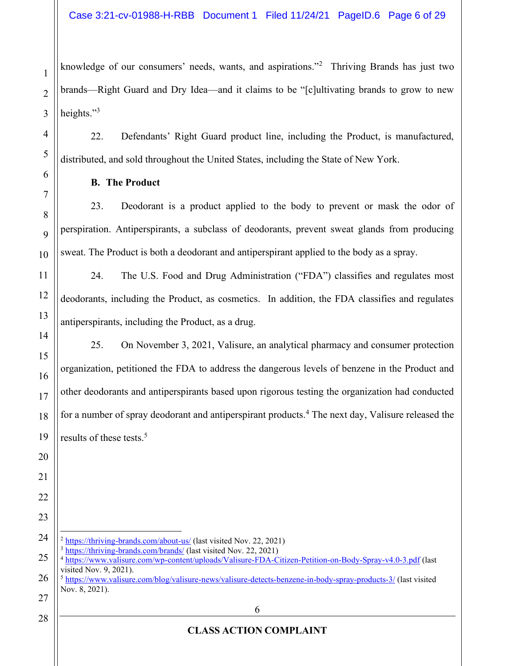knowledge of our consumers' needs, wants, and aspirations."<sup>2</sup> Thriving Brands has just two brands—Right Guard and Dry Idea—and it claims to be "[c]ultivating brands to grow to new heights. $"3$ 

22. Defendants' Right Guard product line, including the Product, is manufactured, distributed, and sold throughout the United States, including the State of New York.

**B. The Product**

1

2

3

4

5

6

7

8

9

10

11

12

13

14

15

16

17

18

19

20

21

22

23

28

23. Deodorant is a product applied to the body to prevent or mask the odor of perspiration. Antiperspirants, a subclass of deodorants, prevent sweat glands from producing sweat. The Product is both a deodorant and antiperspirant applied to the body as a spray.

24. The U.S. Food and Drug Administration ("FDA") classifies and regulates most deodorants, including the Product, as cosmetics. In addition, the FDA classifies and regulates antiperspirants, including the Product, as a drug.

25. On November 3, 2021, Valisure, an analytical pharmacy and consumer protection organization, petitioned the FDA to address the dangerous levels of benzene in the Product and other deodorants and antiperspirants based upon rigorous testing the organization had conducted for a number of spray deodorant and antiperspirant products.<sup>4</sup> The next day, Valisure released the results of these tests.<sup>5</sup>

- 24  $2 \frac{\text{https://thriving-brands.com/about-us/}}{\text{https://thriving-brands.com/about-us/}}$  (last visited Nov. 22, 2021) <sup>3</sup> https://thriving-brands.com/brands/ (last visited Nov. 22, 2021)
- 25 26 <sup>4</sup> https://www.valisure.com/wp-content/uploads/Valisure-FDA-Citizen-Petition-on-Body-Spray-v4.0-3.pdf (last visited Nov. 9, 2021). <sup>5</sup> https://www.valisure.com/blog/valisure-news/valisure-detects-benzene-in-body-spray-products-3/ (last visited
- 27 Nov. 8, 2021).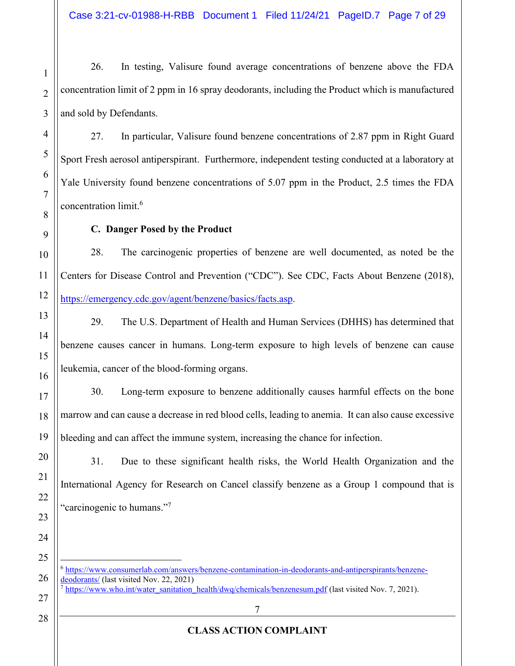26. In testing, Valisure found average concentrations of benzene above the FDA concentration limit of 2 ppm in 16 spray deodorants, including the Product which is manufactured and sold by Defendants.

27. In particular, Valisure found benzene concentrations of 2.87 ppm in Right Guard Sport Fresh aerosol antiperspirant. Furthermore, independent testing conducted at a laboratory at Yale University found benzene concentrations of 5.07 ppm in the Product, 2.5 times the FDA concentration limit.6

## **C. Danger Posed by the Product**

28. The carcinogenic properties of benzene are well documented, as noted be the Centers for Disease Control and Prevention ("CDC"). See CDC, Facts About Benzene (2018), https://emergency.cdc.gov/agent/benzene/basics/facts.asp.

29. The U.S. Department of Health and Human Services (DHHS) has determined that benzene causes cancer in humans. Long-term exposure to high levels of benzene can cause leukemia, cancer of the blood-forming organs.

30. Long-term exposure to benzene additionally causes harmful effects on the bone marrow and can cause a decrease in red blood cells, leading to anemia. It can also cause excessive bleeding and can affect the immune system, increasing the chance for infection.

31. Due to these significant health risks, the World Health Organization and the International Agency for Research on Cancel classify benzene as a Group 1 compound that is 'carcinogenic to humans."<sup>7</sup>

<sup>6</sup> https://www.consumerlab.com/answers/benzene-contamination-in-deodorants-and-antiperspirants/benzenedeodorants/ (last visited Nov. 22, 2021)  $<sup>7</sup>$  https://www.who.int/water\_sanitation\_health/dwq/chemicals/benzenesum.pdf (last visited Nov. 7, 2021).</sup>

1

2

3

4

5

6

7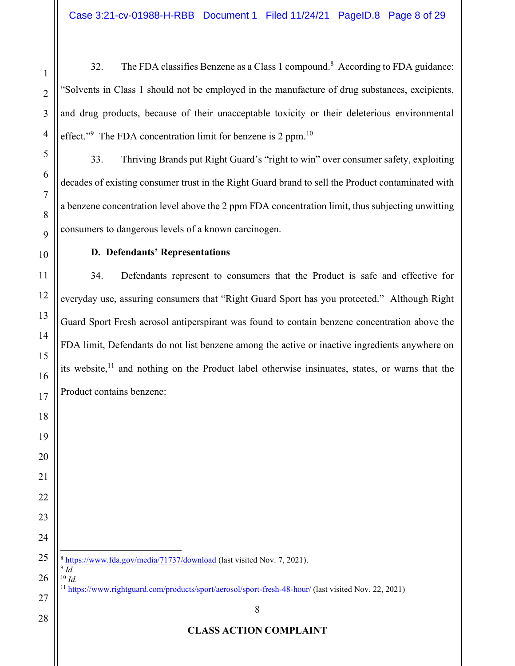32. The FDA classifies Benzene as a Class 1 compound.<sup>8</sup> According to FDA guidance: "Solvents in Class 1 should not be employed in the manufacture of drug substances, excipients, and drug products, because of their unacceptable toxicity or their deleterious environmental effect."<sup>9</sup> The FDA concentration limit for benzene is 2 ppm.<sup>10</sup>

33. Thriving Brands put Right Guard's "right to win" over consumer safety, exploiting decades of existing consumer trust in the Right Guard brand to sell the Product contaminated with a benzene concentration level above the 2 ppm FDA concentration limit, thus subjecting unwitting consumers to dangerous levels of a known carcinogen.

## $D.$  **Defendants' Representations**

34. Defendants represent to consumers that the Product is safe and effective for everyday use, assuring consumers that "Right Guard Sport has you protected." Although Right Guard Sport Fresh aerosol antiperspirant was found to contain benzene concentration above the FDA limit, Defendants do not list benzene among the active or inactive ingredients anywhere on its website, and nothing on the Product label otherwise insinuates, states, or warns that the Product contains benzene:

| 24        |                                                                                                                                                                                      |
|-----------|--------------------------------------------------------------------------------------------------------------------------------------------------------------------------------------|
|           | 25 $\left\  \frac{\text{s}}{\text{s}} \frac{\text{https://www.fda.gov/media/71737/download}}{\text{https://www.fda.gov/media/71737/download}} \right\ $ (last visited Nov. 7, 2021). |
|           | $26 \parallel^{9} Id.$                                                                                                                                                               |
|           | 27    <sup>11</sup> https://www.rightguard.com/products/sport/aerosol/sport-fresh-48-hour/ (last visited Nov                                                                         |
| $\bigcap$ |                                                                                                                                                                                      |

 $1.22, 2021$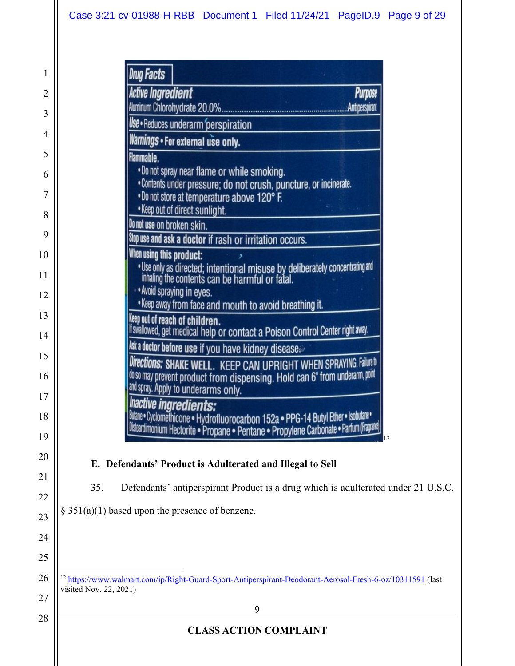# Case 3:21-cv-01988-H-RBB Document 1 Filed 11/24/21 PageID.9 Page 9 of 29

|                        | Drug Facts                                                                                                                                                                                                                                           |
|------------------------|------------------------------------------------------------------------------------------------------------------------------------------------------------------------------------------------------------------------------------------------------|
|                        | Active Ingredient<br>Purpose                                                                                                                                                                                                                         |
|                        | <b>Antiperspirant</b>                                                                                                                                                                                                                                |
|                        | <b>Use •</b> Reduces underarm perspiration                                                                                                                                                                                                           |
|                        | Warnings • For external use only.                                                                                                                                                                                                                    |
|                        | Flammable.<br>. Do not spray near flame or while smoking.<br>• Contents under pressure; do not crush, puncture, or incinerate.<br>. Do not store at temperature above 120° F.<br>. Keep out of direct sunlight.                                      |
|                        | Do not use on broken skin.                                                                                                                                                                                                                           |
|                        | Stop use and ask a doctor if rash or irritation occurs.                                                                                                                                                                                              |
|                        | When using this product:<br>. Use only as directed; intentional misuse by deliberately concentrating and inhaling the contents can be harmful or fatal.<br>. Avoid spraying in eyes.<br>. Keep away from face and mouth to avoid breathing it.       |
|                        | keep out of reach of children.<br>If swallowed, get medical help or contact a Poison Control Center right away.                                                                                                                                      |
|                        | <b>kskadoctor before use</b> if you have kidney disease.<br>Directions: SHAKE WELL. KEEP CAN UPRIGHT WHEN SPRAYING. Failure to<br>do so may prevent product from dispensing. Hold can 6" from underarm, point<br>and spray. Apply to underarms only. |
|                        | <b>Inactive ingredients:</b><br>Butane • Cyclomethicone • Hydrofluorocarbon 152a • PPG-14 Butyl Ether • Isobutane •<br>Disteardimonium Hectorite • Propane • Pentane • Propylene Carbonate • Parlum (Fragranz)<br>12                                 |
|                        | E. Defendants' Product is Adulterated and Illegal to Sell                                                                                                                                                                                            |
| 35.                    | Defendants' antiperspirant Product is a drug which is adulterated under 21 U.S.C.                                                                                                                                                                    |
|                        |                                                                                                                                                                                                                                                      |
|                        | $§ 351(a)(1)$ based upon the presence of benzene.                                                                                                                                                                                                    |
|                        |                                                                                                                                                                                                                                                      |
|                        |                                                                                                                                                                                                                                                      |
| visited Nov. 22, 2021) | <sup>12</sup> https://www.walmart.com/ip/Right-Guard-Sport-Antiperspirant-Deodorant-Aerosol-Fresh-6-oz/10311591 (last                                                                                                                                |
|                        | 9                                                                                                                                                                                                                                                    |
|                        | <b>CLASS ACTION COMPLAINT</b>                                                                                                                                                                                                                        |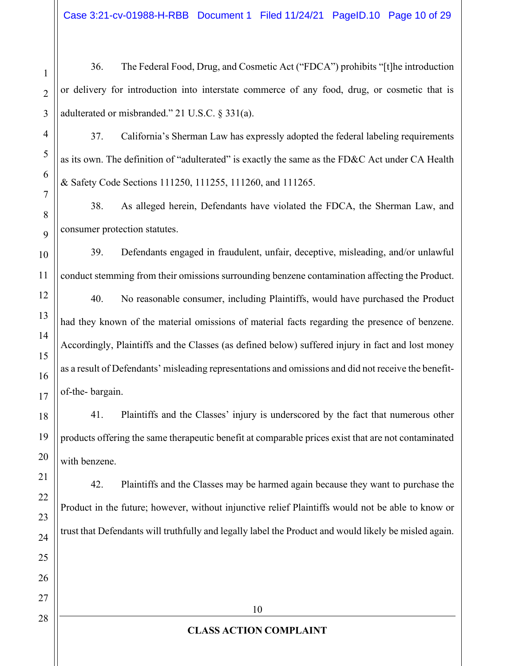Case 3:21-cv-01988-H-RBB Document 1 Filed 11/24/21 PageID.10 Page 10 of 29

36. The Federal Food, Drug, and Cosmetic Act ("FDCA") prohibits "[t]he introduction or delivery for introduction into interstate commerce of any food, drug, or cosmetic that is adulterated or misbranded." 21 U.S.C.  $\S 331(a)$ .

37. California's Sherman Law has expressly adopted the federal labeling requirements as its own. The definition of "adulterated" is exactly the same as the FD&C Act under CA Health & Safety Code Sections 111250, 111255, 111260, and 111265.

38. As alleged herein, Defendants have violated the FDCA, the Sherman Law, and consumer protection statutes.

39. Defendants engaged in fraudulent, unfair, deceptive, misleading, and/or unlawful conduct stemming from their omissions surrounding benzene contamination affecting the Product.

40. No reasonable consumer, including Plaintiffs, would have purchased the Product had they known of the material omissions of material facts regarding the presence of benzene. Accordingly, Plaintiffs and the Classes (as defined below) suffered injury in fact and lost money as a result of Defendants' misleading representations and omissions and did not receive the benefitof-the- bargain.

41. Plaintiffs and the Classes' injury is underscored by the fact that numerous other products offering the same therapeutic benefit at comparable prices exist that are not contaminated with benzene.

42. Plaintiffs and the Classes may be harmed again because they want to purchase the Product in the future; however, without injunctive relief Plaintiffs would not be able to know or trust that Defendants will truthfully and legally label the Product and would likely be misled again.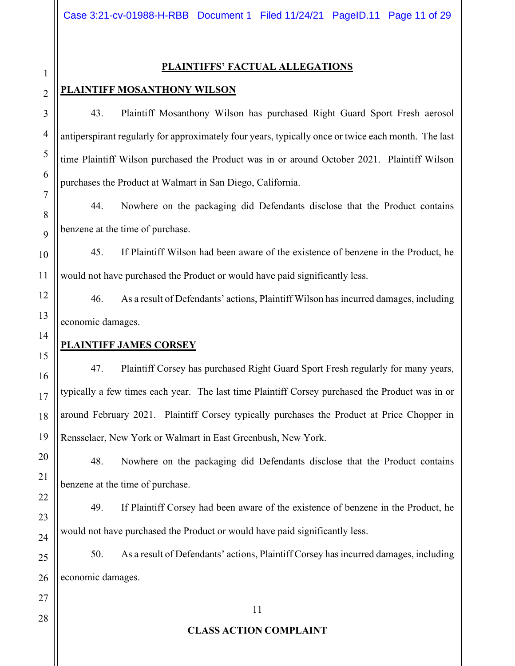#### **PLAINTIFFS' FACTUAL ALLEGATIONS**

## **PLAINTIFF MOSANTHONY WILSON**

43. Plaintiff Mosanthony Wilson has purchased Right Guard Sport Fresh aerosol antiperspirant regularly for approximately four years, typically once or twice each month. The last time Plaintiff Wilson purchased the Product was in or around October 2021. Plaintiff Wilson purchases the Product at Walmart in San Diego, California.

44. Nowhere on the packaging did Defendants disclose that the Product contains benzene at the time of purchase.

45. If Plaintiff Wilson had been aware of the existence of benzene in the Product, he would not have purchased the Product or would have paid significantly less.

46. As a result of Defendants' actions, Plaintiff Wilson has incurred damages, including economic damages.

## **PLAINTIFF JAMES CORSEY**

47. Plaintiff Corsey has purchased Right Guard Sport Fresh regularly for many years, typically a few times each year. The last time Plaintiff Corsey purchased the Product was in or around February 2021. Plaintiff Corsey typically purchases the Product at Price Chopper in Rensselaer, New York or Walmart in East Greenbush, New York.

48. Nowhere on the packaging did Defendants disclose that the Product contains benzene at the time of purchase.

49. If Plaintiff Corsey had been aware of the existence of benzene in the Product, he would not have purchased the Product or would have paid significantly less.

50. As a result of Defendants' actions, Plaintiff Corsey has incurred damages, including economic damages.

1

2

3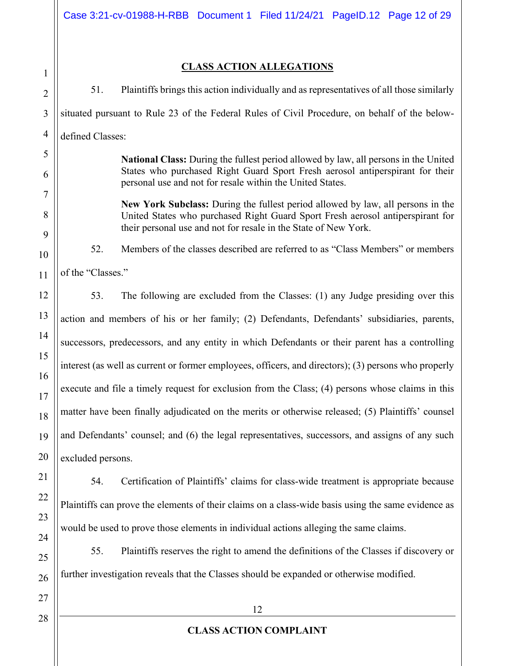1 2 3

# **CLASS ACTION ALLEGATIONS**

4 5 6 7 8 9 10 11 12 13 14 15 16 17 18 19 20 51. Plaintiffs brings this action individually and as representatives of all those similarly situated pursuant to Rule 23 of the Federal Rules of Civil Procedure, on behalf of the belowdefined Classes: **National Class:** During the fullest period allowed by law, all persons in the United States who purchased Right Guard Sport Fresh aerosol antiperspirant for their personal use and not for resale within the United States. **New York Subclass:** During the fullest period allowed by law, all persons in the United States who purchased Right Guard Sport Fresh aerosol antiperspirant for their personal use and not for resale in the State of New York. 52. Members of the classes described are referred to as "Class Members" or members of the "Classes." 53. The following are excluded from the Classes: (1) any Judge presiding over this action and members of his or her family; (2) Defendants, Defendants' subsidiaries, parents, successors, predecessors, and any entity in which Defendants or their parent has a controlling interest (as well as current or former employees, officers, and directors); (3) persons who properly execute and file a timely request for exclusion from the Class; (4) persons whose claims in this matter have been finally adjudicated on the merits or otherwise released; (5) Plaintiffs' counsel and Defendants' counsel; and (6) the legal representatives, successors, and assigns of any such excluded persons.

54. Certification of Plaintiffs' claims for class-wide treatment is appropriate because Plaintiffs can prove the elements of their claims on a class-wide basis using the same evidence as would be used to prove those elements in individual actions alleging the same claims.

55. Plaintiffs reserves the right to amend the definitions of the Classes if discovery or further investigation reveals that the Classes should be expanded or otherwise modified.

28

21

22

23

24

25

26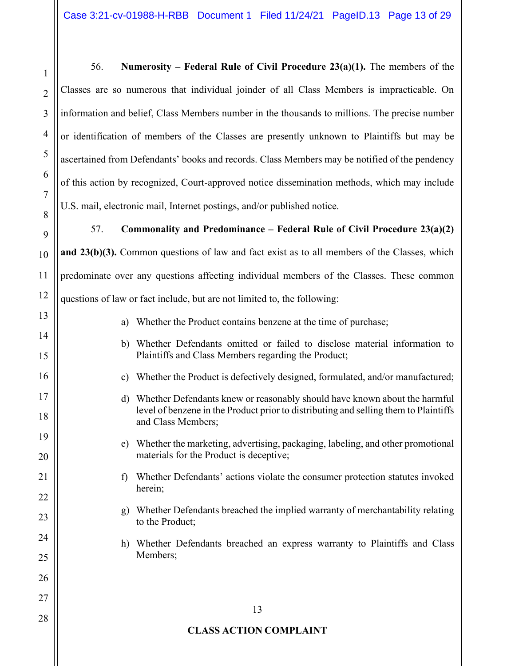56. **Numerosity – Federal Rule of Civil Procedure**  $23(a)(1)$ **. The members of the** Classes are so numerous that individual joinder of all Class Members is impracticable. On information and belief, Class Members number in the thousands to millions. The precise number or identification of members of the Classes are presently unknown to Plaintiffs but may be ascertained from Defendants' books and records. Class Members may be notified of the pendency of this action by recognized, Court-approved notice dissemination methods, which may include U.S. mail, electronic mail, Internet postings, and/or published notice.

1

2

3

4

5

6

7

8

9

10

11

12

13

14

15

16

17

18

19

20

21

22

23

24

25

26

27

28

57. **Commonality and Predominance ± Federal Rule of Civil Procedure 23(a)(2) and 23(b)(3).** Common questions of law and fact exist as to all members of the Classes, which predominate over any questions affecting individual members of the Classes. These common questions of law or fact include, but are not limited to, the following:

- a) Whether the Product contains benzene at the time of purchase;
- b) Whether Defendants omitted or failed to disclose material information to Plaintiffs and Class Members regarding the Product;
- c) Whether the Product is defectively designed, formulated, and/or manufactured;
- d) Whether Defendants knew or reasonably should have known about the harmful level of benzene in the Product prior to distributing and selling them to Plaintiffs and Class Members;
	- e) Whether the marketing, advertising, packaging, labeling, and other promotional materials for the Product is deceptive;
	- f) Whether Defendants' actions violate the consumer protection statutes invoked herein;
	- g) Whether Defendants breached the implied warranty of merchantability relating to the Product;
	- h) Whether Defendants breached an express warranty to Plaintiffs and Class Members;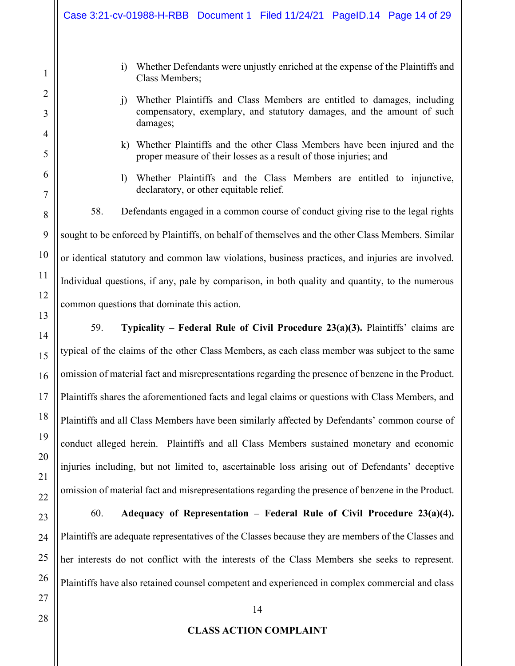i) Whether Defendants were unjustly enriched at the expense of the Plaintiffs and Class Members; j) Whether Plaintiffs and Class Members are entitled to damages, including compensatory, exemplary, and statutory damages, and the amount of such damages; k) Whether Plaintiffs and the other Class Members have been injured and the proper measure of their losses as a result of those injuries; and l) Whether Plaintiffs and the Class Members are entitled to injunctive, declaratory, or other equitable relief. 58. Defendants engaged in a common course of conduct giving rise to the legal rights sought to be enforced by Plaintiffs, on behalf of themselves and the other Class Members. Similar or identical statutory and common law violations, business practices, and injuries are involved. Individual questions, if any, pale by comparison, in both quality and quantity, to the numerous common questions that dominate this action. 59. **Typicality – Federal Rule of Civil Procedure 23(a)(3).** Plaintiffs' claims are typical of the claims of the other Class Members, as each class member was subject to the same omission of material fact and misrepresentations regarding the presence of benzene in the Product. Plaintiffs shares the aforementioned facts and legal claims or questions with Class Members, and Plaintiffs and all Class Members have been similarly affected by Defendants' common course of conduct alleged herein. Plaintiffs and all Class Members sustained monetary and economic injuries including, but not limited to, ascertainable loss arising out of Defendants' deceptive omission of material fact and misrepresentations regarding the presence of benzene in the Product. 60. **Adequacy of Representation ± Federal Rule of Civil Procedure 23(a)(4).** Plaintiffs are adequate representatives of the Classes because they are members of the Classes and her interests do not conflict with the interests of the Class Members she seeks to represent. Plaintiffs have also retained counsel competent and experienced in complex commercial and class Case 3:21-cv-01988-H-RBB Document 1 Filed 11/24/21 PageID.14 Page 14 of 29

1

2

3

4

5

6

7

8

9

10

11

12

13

14

15

16

17

18

19

20

21

22

23

24

25

26

27

14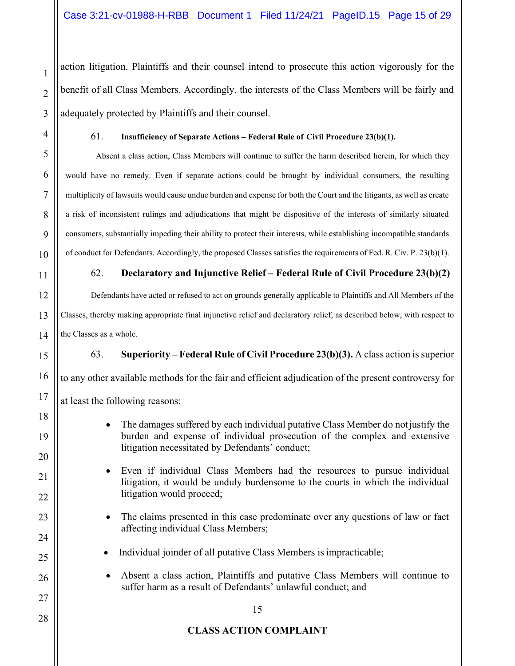action litigation. Plaintiffs and their counsel intend to prosecute this action vigorously for the benefit of all Class Members. Accordingly, the interests of the Class Members will be fairly and adequately protected by Plaintiffs and their counsel.

1

2

3

4

5

6

7

8

9

10

11

12

13

14

15

16

17

18

19

20

21

22

23

24

25

26

27

28

#### 61. **Insufficiency of Separate Actions ± Federal Rule of Civil Procedure 23(b)(1).**

Absent a class action, Class Members will continue to suffer the harm described herein, for which they would have no remedy. Even if separate actions could be brought by individual consumers, the resulting multiplicity of lawsuits would cause undue burden and expense for both the Court and the litigants, as well as create a risk of inconsistent rulings and adjudications that might be dispositive of the interests of similarly situated consumers, substantially impeding their ability to protect their interests, while establishing incompatible standards of conduct for Defendants. Accordingly, the proposed Classes satisfies the requirements of Fed. R. Civ. P. 23(b)(1).

## 62. **Declaratory and Injunctive Relief ± Federal Rule of Civil Procedure 23(b)(2)**

Defendants have acted or refused to act on grounds generally applicable to Plaintiffs and All Members of the Classes, thereby making appropriate final injunctive relief and declaratory relief, as described below, with respect to the Classes as a whole.

63. **Superiority ± Federal Rule of Civil Procedure 23(b)(3).** A class action is superior

to any other available methods for the fair and efficient adjudication of the present controversy for

at least the following reasons:

- The damages suffered by each individual putative Class Member do not justify the burden and expense of individual prosecution of the complex and extensive litigation necessitated by Defendants' conduct;
- Even if individual Class Members had the resources to pursue individual litigation, it would be unduly burdensome to the courts in which the individual litigation would proceed;
- The claims presented in this case predominate over any questions of law or fact affecting individual Class Members;
- Individual joinder of all putative Class Members is impracticable;
- Absent a class action, Plaintiffs and putative Class Members will continue to suffer harm as a result of Defendants' unlawful conduct; and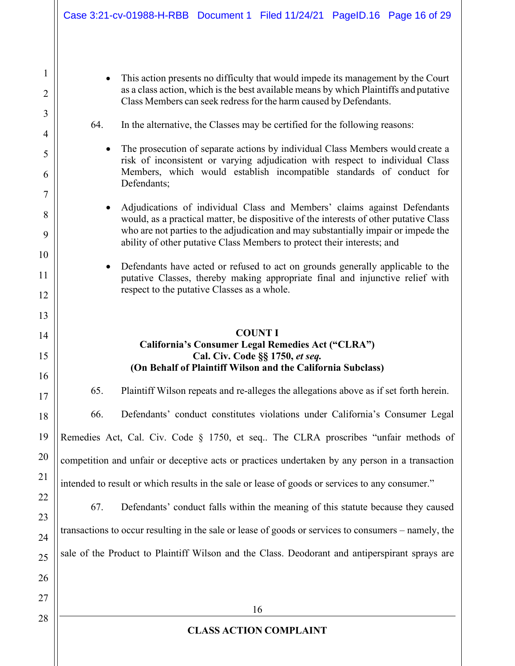• This action presents no difficulty that would impede its management by the Court as a class action, which is the best available means by which Plaintiffs and putative Class Members can seek redress for the harm caused by Defendants.

## 64. In the alternative, the Classes may be certified for the following reasons:

- The prosecution of separate actions by individual Class Members would create a risk of inconsistent or varying adjudication with respect to individual Class Members, which would establish incompatible standards of conduct for Defendants;
- Adjudications of individual Class and Members' claims against Defendants would, as a practical matter, be dispositive of the interests of other putative Class who are not parties to the adjudication and may substantially impair or impede the ability of other putative Class Members to protect their interests; and
- Defendants have acted or refused to act on grounds generally applicable to the putative Classes, thereby making appropriate final and injunctive relief with respect to the putative Classes as a whole.

## **COUNT I California's Consumer Legal Remedies Act ("CLRA") Cal. Civ. Code §§ 1750,** *et seq.* **(On Behalf of Plaintiff Wilson and the California Subclass)**

65. Plaintiff Wilson repeats and re-alleges the allegations above as if set forth herein.

66. Defendants' conduct constitutes violations under California's Consumer Legal

Remedies Act, Cal. Civ. Code  $\S$  1750, et seq.. The CLRA proscribes "unfair methods of

competition and unfair or deceptive acts or practices undertaken by any person in a transaction

intended to result or which results in the sale or lease of goods or services to any consumer."

67. Defendants' conduct falls within the meaning of this statute because they caused transactions to occur resulting in the sale or lease of goods or services to consumers – namely, the sale of the Product to Plaintiff Wilson and the Class. Deodorant and antiperspirant sprays are

28

1

2

3

4

5

6

7

8

9

10

11

12

13

14

15

16

17

18

19

20

21

22

23

24

25

26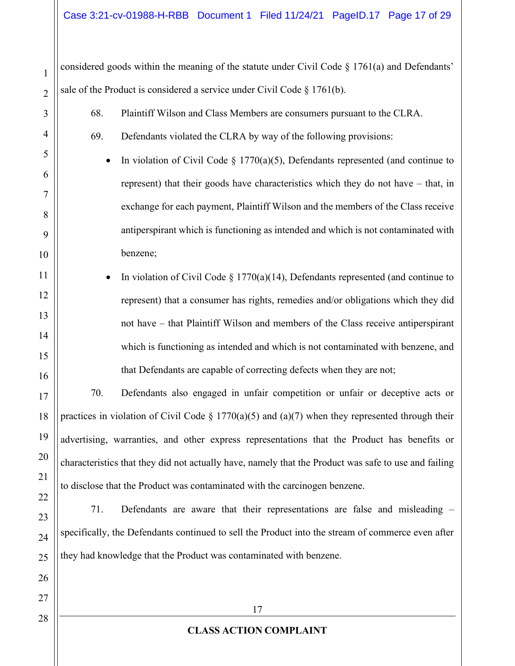considered goods within the meaning of the statute under Civil Code  $\S$  1761(a) and Defendants' sale of the Product is considered a service under Civil Code § 1761(b).

- 68. Plaintiff Wilson and Class Members are consumers pursuant to the CLRA.
- 69. Defendants violated the CLRA by way of the following provisions:
	- In violation of Civil Code  $\S$  1770(a)(5), Defendants represented (and continue to represent) that their goods have characteristics which they do not have  $-$  that, in exchange for each payment, Plaintiff Wilson and the members of the Class receive antiperspirant which is functioning as intended and which is not contaminated with benzene;
- In violation of Civil Code  $\S 1770(a)(14)$ , Defendants represented (and continue to represent) that a consumer has rights, remedies and/or obligations which they did not have – that Plaintiff Wilson and members of the Class receive antiperspirant which is functioning as intended and which is not contaminated with benzene, and that Defendants are capable of correcting defects when they are not;

70. Defendants also engaged in unfair competition or unfair or deceptive acts or practices in violation of Civil Code  $\S 1770(a)(5)$  and  $(a)(7)$  when they represented through their advertising, warranties, and other express representations that the Product has benefits or characteristics that they did not actually have, namely that the Product was safe to use and failing to disclose that the Product was contaminated with the carcinogen benzene.

71. Defendants are aware that their representations are false and misleading  $-\frac{1}{2}$ specifically, the Defendants continued to sell the Product into the stream of commerce even after they had knowledge that the Product was contaminated with benzene.

1

2

3

4

5

6

7

8

9

10

11

12

13

14

15

16

17

18

19

20

21

22

23

24

25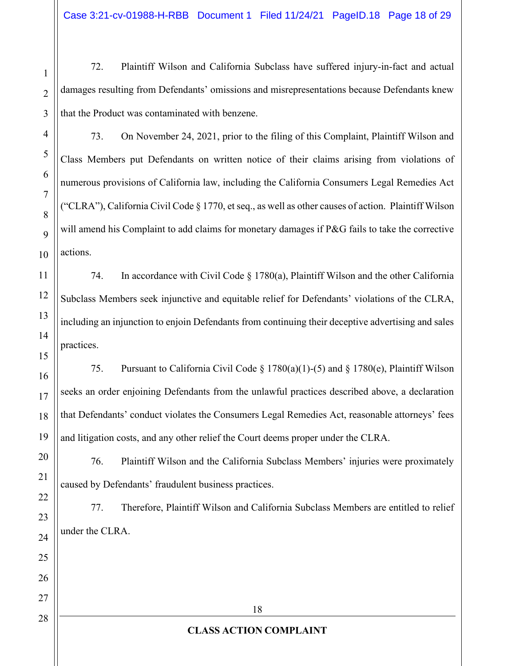Case 3:21-cv-01988-H-RBB Document 1 Filed 11/24/21 PageID.18 Page 18 of 29

72. Plaintiff Wilson and California Subclass have suffered injury-in-fact and actual damages resulting from Defendants' omissions and misrepresentations because Defendants knew that the Product was contaminated with benzene.

73. On November 24, 2021, prior to the filing of this Complaint, Plaintiff Wilson and Class Members put Defendants on written notice of their claims arising from violations of numerous provisions of California law, including the California Consumers Legal Remedies Act ("CLRA"), California Civil Code  $\S 1770$ , et seq., as well as other causes of action. Plaintiff Wilson will amend his Complaint to add claims for monetary damages if P&G fails to take the corrective actions.

74. In accordance with Civil Code § 1780(a), Plaintiff Wilson and the other California Subclass Members seek injunctive and equitable relief for Defendants' violations of the CLRA, including an injunction to enjoin Defendants from continuing their deceptive advertising and sales practices.

75. Pursuant to California Civil Code § 1780(a)(1)-(5) and § 1780(e), Plaintiff Wilson seeks an order enjoining Defendants from the unlawful practices described above, a declaration that Defendants' conduct violates the Consumers Legal Remedies Act, reasonable attorneys' fees and litigation costs, and any other relief the Court deems proper under the CLRA.

76. Plaintiff Wilson and the California Subclass Members' injuries were proximately caused by Defendants' fraudulent business practices.

77. Therefore, Plaintiff Wilson and California Subclass Members are entitled to relief under the CLRA.

1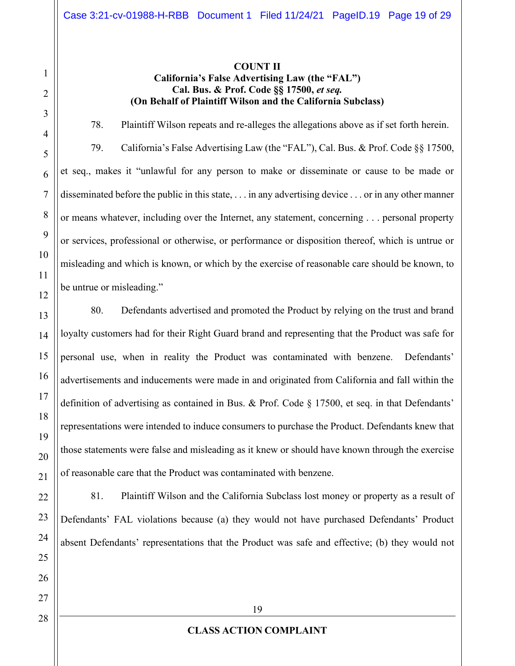## **COUNT II California's False Advertising Law (the "FAL") Cal. Bus. & Prof. Code §§ 17500,** *et seq.* **(On Behalf of Plaintiff Wilson and the California Subclass)**

78. Plaintiff Wilson repeats and re-alleges the allegations above as if set forth herein.

79. California's False Advertising Law (the "FAL"), Cal. Bus. & Prof. Code §§ 17500, et seq., makes it "unlawful for any person to make or disseminate or cause to be made or disseminated before the public in this state, . . . in any advertising device . . . or in any other manner or means whatever, including over the Internet, any statement, concerning . . . personal property or services, professional or otherwise, or performance or disposition thereof, which is untrue or misleading and which is known, or which by the exercise of reasonable care should be known, to be untrue or misleading."

80. Defendants advertised and promoted the Product by relying on the trust and brand loyalty customers had for their Right Guard brand and representing that the Product was safe for personal use, when in reality the Product was contaminated with benzene. Defendants' advertisements and inducements were made in and originated from California and fall within the definition of advertising as contained in Bus. & Prof. Code  $\S$  17500, et seq. in that Defendants' representations were intended to induce consumers to purchase the Product. Defendants knew that those statements were false and misleading as it knew or should have known through the exercise of reasonable care that the Product was contaminated with benzene.

81. Plaintiff Wilson and the California Subclass lost money or property as a result of Defendants' FAL violations because (a) they would not have purchased Defendants' Product absent Defendants' representations that the Product was safe and effective; (b) they would not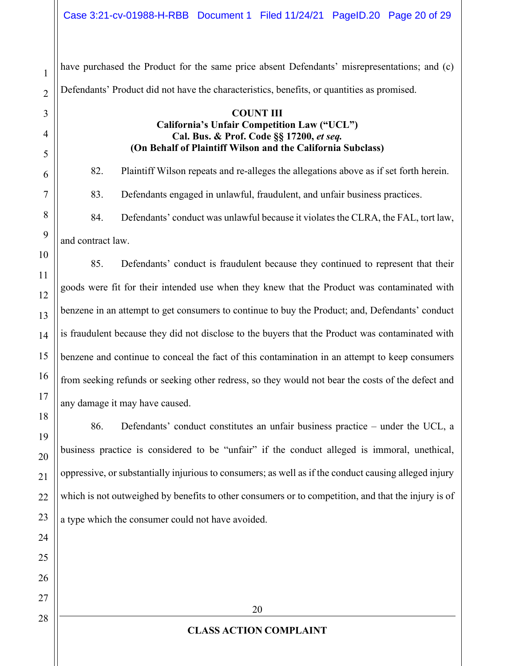have purchased the Product for the same price absent Defendants' misrepresentations; and (c) Defendants' Product did not have the characteristics, benefits, or quantities as promised.

1

2

3

4

5

6

7

8

9

10

11

12

13

14

15

16

17

18

19

20

21

22

23

24

25

26

27

28

#### **COUNT III California's Unfair Competition Law ("UCL") Cal. Bus. & Prof. Code §§ 17200,** *et seq.* **(On Behalf of Plaintiff Wilson and the California Subclass)**

82. Plaintiff Wilson repeats and re-alleges the allegations above as if set forth herein. 83. Defendants engaged in unlawful, fraudulent, and unfair business practices.

84. Defendants' conduct was unlawful because it violates the CLRA, the FAL, tort law, and contract law.

85. Defendants' conduct is fraudulent because they continued to represent that their goods were fit for their intended use when they knew that the Product was contaminated with benzene in an attempt to get consumers to continue to buy the Product; and, Defendants' conduct is fraudulent because they did not disclose to the buyers that the Product was contaminated with benzene and continue to conceal the fact of this contamination in an attempt to keep consumers from seeking refunds or seeking other redress, so they would not bear the costs of the defect and any damage it may have caused.

86. Defendants' conduct constitutes an unfair business practice  $-$  under the UCL, a business practice is considered to be "unfair" if the conduct alleged is immoral, unethical, oppressive, or substantially injurious to consumers; as well as if the conduct causing alleged injury which is not outweighed by benefits to other consumers or to competition, and that the injury is of a type which the consumer could not have avoided.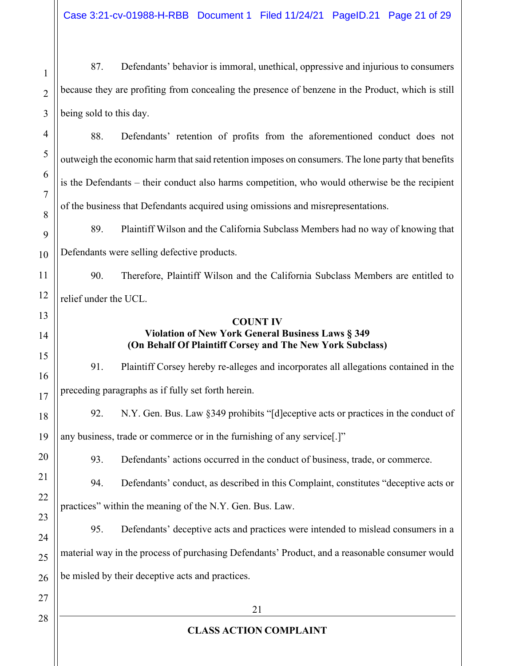Case 3:21-cv-01988-H-RBB Document 1 Filed 11/24/21 PageID.21 Page 21 of 29

87. Defendants' behavior is immoral, unethical, oppressive and injurious to consumers because they are profiting from concealing the presence of benzene in the Product, which is still being sold to this day.

88. Defendants' retention of profits from the aforementioned conduct does not outweigh the economic harm that said retention imposes on consumers. The lone party that benefits is the Defendants – their conduct also harms competition, who would otherwise be the recipient of the business that Defendants acquired using omissions and misrepresentations.

89. Plaintiff Wilson and the California Subclass Members had no way of knowing that Defendants were selling defective products.

90. Therefore, Plaintiff Wilson and the California Subclass Members are entitled to relief under the UCL.

#### **COUNT IV Violation of New York General Business Laws § 349 (On Behalf Of Plaintiff Corsey and The New York Subclass)**

91. Plaintiff Corsey hereby re-alleges and incorporates all allegations contained in the preceding paragraphs as if fully set forth herein.

18 19 92. N.Y. Gen. Bus. Law  $\S 349$  prohibits "[d]eceptive acts or practices in the conduct of any business, trade or commerce or in the furnishing of any service.<sup>[1]</sup>

93. Defendants' actions occurred in the conduct of business, trade, or commerce.

94. Defendants' conduct, as described in this Complaint, constitutes "deceptive acts or practices" within the meaning of the N.Y. Gen. Bus. Law.

95. Defendants' deceptive acts and practices were intended to mislead consumers in a material way in the process of purchasing Defendants' Product, and a reasonable consumer would be misled by their deceptive acts and practices.

27 28

1

2

3

4

5

6

7

8

9

10

11

12

13

14

15

16

17

20

21

22

23

24

25

26

# **CLASS ACTION COMPLAINT**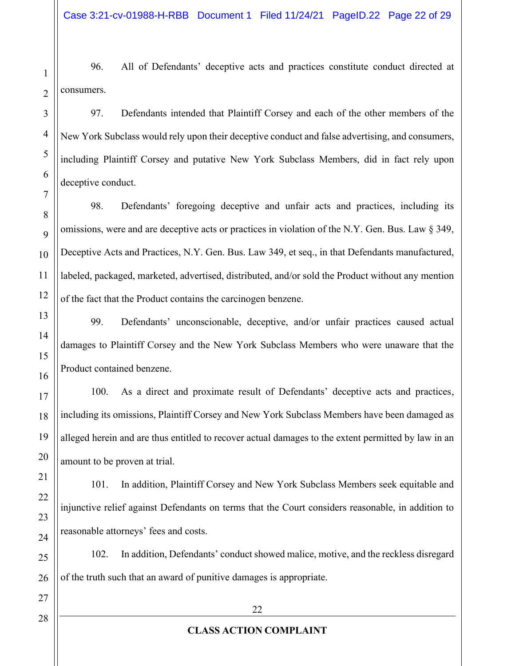96. All of Defendants' deceptive acts and practices constitute conduct directed at consumers.

97. Defendants intended that Plaintiff Corsey and each of the other members of the New York Subclass would rely upon their deceptive conduct and false advertising, and consumers, including Plaintiff Corsey and putative New York Subclass Members, did in fact rely upon deceptive conduct.

98. Defendants' foregoing deceptive and unfair acts and practices, including its omissions, were and are deceptive acts or practices in violation of the N.Y. Gen. Bus. Law § 349, Deceptive Acts and Practices, N.Y. Gen. Bus. Law 349, et seq., in that Defendants manufactured, labeled, packaged, marketed, advertised, distributed, and/or sold the Product without any mention of the fact that the Product contains the carcinogen benzene.

99. Defendants' unconscionable, deceptive, and/or unfair practices caused actual damages to Plaintiff Corsey and the New York Subclass Members who were unaware that the Product contained benzene.

100. As a direct and proximate result of Defendants' deceptive acts and practices, including its omissions, Plaintiff Corsey and New York Subclass Members have been damaged as alleged herein and are thus entitled to recover actual damages to the extent permitted by law in an amount to be proven at trial.

101. In addition, Plaintiff Corsey and New York Subclass Members seek equitable and injunctive relief against Defendants on terms that the Court considers reasonable, in addition to reasonable attorneys' fees and costs.

102. In addition, Defendants' conduct showed malice, motive, and the reckless disregard of the truth such that an award of punitive damages is appropriate.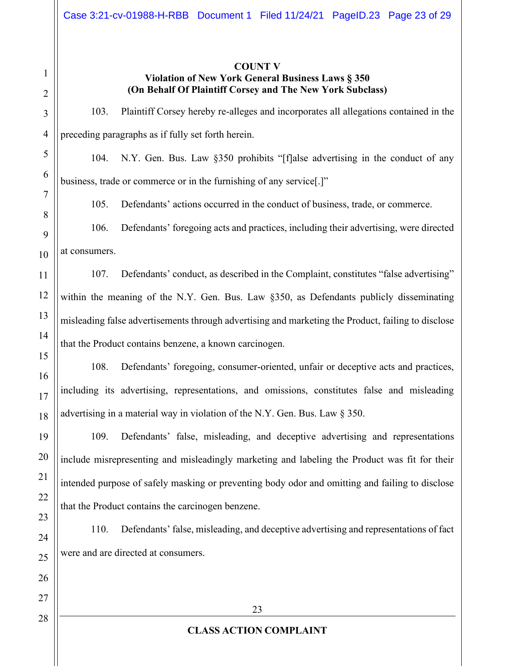#### **COUNT V**

# **Violation of New York General Business Laws § 350 (On Behalf Of Plaintiff Corsey and The New York Subclass)**

103. Plaintiff Corsey hereby re-alleges and incorporates all allegations contained in the preceding paragraphs as if fully set forth herein.

104. N.Y. Gen. Bus. Law §350 prohibits "[f]alse advertising in the conduct of any business, trade or commerce or in the furnishing of any service.]"

105. Defendants' actions occurred in the conduct of business, trade, or commerce.

106. Defendants' foregoing acts and practices, including their advertising, were directed at consumers.

107. Defendants' conduct, as described in the Complaint, constitutes "false advertising" within the meaning of the N.Y. Gen. Bus. Law §350, as Defendants publicly disseminating misleading false advertisements through advertising and marketing the Product, failing to disclose that the Product contains benzene, a known carcinogen.

108. Defendants' foregoing, consumer-oriented, unfair or deceptive acts and practices, including its advertising, representations, and omissions, constitutes false and misleading advertising in a material way in violation of the N.Y. Gen. Bus. Law § 350.

109. Defendants' false, misleading, and deceptive advertising and representations include misrepresenting and misleadingly marketing and labeling the Product was fit for their intended purpose of safely masking or preventing body odor and omitting and failing to disclose that the Product contains the carcinogen benzene.

110. Defendants' false, misleading, and deceptive advertising and representations of fact were and are directed at consumers.

27

1

2

3

4

5

6

7

8

9

10

11

12

13

14

15

16

17

18

19

20

21

22

23

24

25

26

28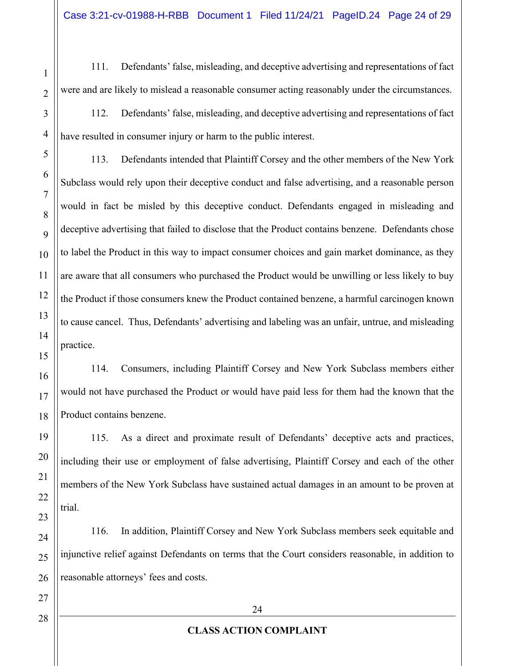111. Defendants' false, misleading, and deceptive advertising and representations of fact were and are likely to mislead a reasonable consumer acting reasonably under the circumstances.

112. Defendants' false, misleading, and deceptive advertising and representations of fact have resulted in consumer injury or harm to the public interest.

113. Defendants intended that Plaintiff Corsey and the other members of the New York Subclass would rely upon their deceptive conduct and false advertising, and a reasonable person would in fact be misled by this deceptive conduct. Defendants engaged in misleading and deceptive advertising that failed to disclose that the Product contains benzene. Defendants chose to label the Product in this way to impact consumer choices and gain market dominance, as they are aware that all consumers who purchased the Product would be unwilling or less likely to buy the Product if those consumers knew the Product contained benzene, a harmful carcinogen known to cause cancel. Thus, Defendants' advertising and labeling was an unfair, untrue, and misleading practice.

114. Consumers, including Plaintiff Corsey and New York Subclass members either would not have purchased the Product or would have paid less for them had the known that the Product contains benzene.

115. As a direct and proximate result of Defendants' deceptive acts and practices, including their use or employment of false advertising, Plaintiff Corsey and each of the other members of the New York Subclass have sustained actual damages in an amount to be proven at trial.

116. In addition, Plaintiff Corsey and New York Subclass members seek equitable and injunctive relief against Defendants on terms that the Court considers reasonable, in addition to reasonable attorneys' fees and costs.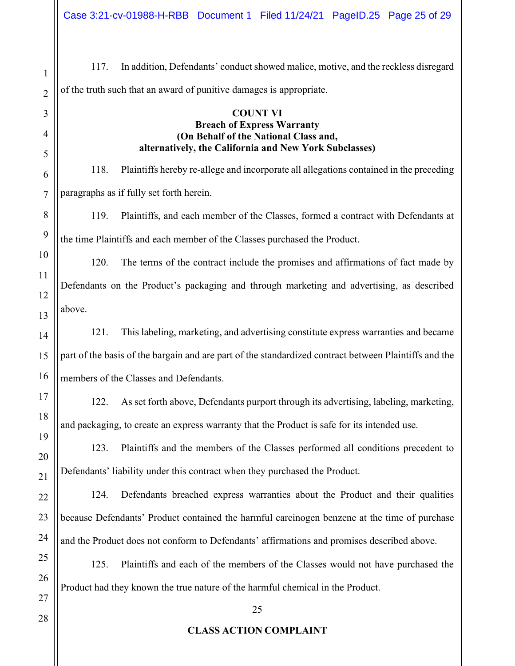117. In addition, Defendants' conduct showed malice, motive, and the reckless disregard of the truth such that an award of punitive damages is appropriate.

#### **COUNT VI Breach of Express Warranty (On Behalf of the National Class and, alternatively, the California and New York Subclasses)**

118. Plaintiffs hereby re-allege and incorporate all allegations contained in the preceding paragraphs as if fully set forth herein.

119. Plaintiffs, and each member of the Classes, formed a contract with Defendants at the time Plaintiffs and each member of the Classes purchased the Product.

120. The terms of the contract include the promises and affirmations of fact made by Defendants on the Product's packaging and through marketing and advertising, as described above.

121. This labeling, marketing, and advertising constitute express warranties and became part of the basis of the bargain and are part of the standardized contract between Plaintiffs and the members of the Classes and Defendants.

122. As set forth above, Defendants purport through its advertising, labeling, marketing, and packaging, to create an express warranty that the Product is safe for its intended use.

123. Plaintiffs and the members of the Classes performed all conditions precedent to Defendants' liability under this contract when they purchased the Product.

124. Defendants breached express warranties about the Product and their qualities because Defendants' Product contained the harmful carcinogen benzene at the time of purchase and the Product does not conform to Defendants' affirmations and promises described above.

125. Plaintiffs and each of the members of the Classes would not have purchased the Product had they known the true nature of the harmful chemical in the Product.

26 27

28

1

2

3

4

5

6

7

8

9

10

11

12

13

14

15

16

17

18

19

20

21

22

23

24

25

# **CLASS ACTION COMPLAINT**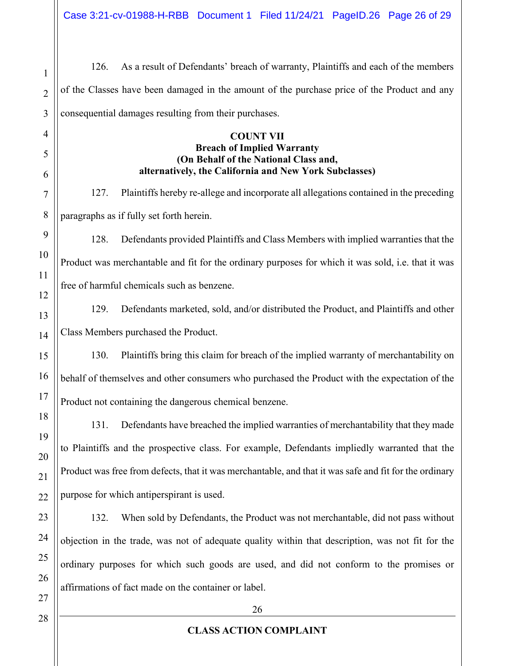126. As a result of Defendants' breach of warranty, Plaintiffs and each of the members of the Classes have been damaged in the amount of the purchase price of the Product and any consequential damages resulting from their purchases.

#### **COUNT VII Breach of Implied Warranty (On Behalf of the National Class and, alternatively, the California and New York Subclasses)**

127. Plaintiffs hereby re-allege and incorporate all allegations contained in the preceding paragraphs as if fully set forth herein.

128. Defendants provided Plaintiffs and Class Members with implied warranties that the Product was merchantable and fit for the ordinary purposes for which it was sold, i.e. that it was free of harmful chemicals such as benzene.

129. Defendants marketed, sold, and/or distributed the Product, and Plaintiffs and other Class Members purchased the Product.

130. Plaintiffs bring this claim for breach of the implied warranty of merchantability on behalf of themselves and other consumers who purchased the Product with the expectation of the Product not containing the dangerous chemical benzene.

131. Defendants have breached the implied warranties of merchantability that they made to Plaintiffs and the prospective class. For example, Defendants impliedly warranted that the Product was free from defects, that it was merchantable, and that it was safe and fit for the ordinary purpose for which antiperspirant is used.

132. When sold by Defendants, the Product was not merchantable, did not pass without objection in the trade, was not of adequate quality within that description, was not fit for the ordinary purposes for which such goods are used, and did not conform to the promises or affirmations of fact made on the container or label.

1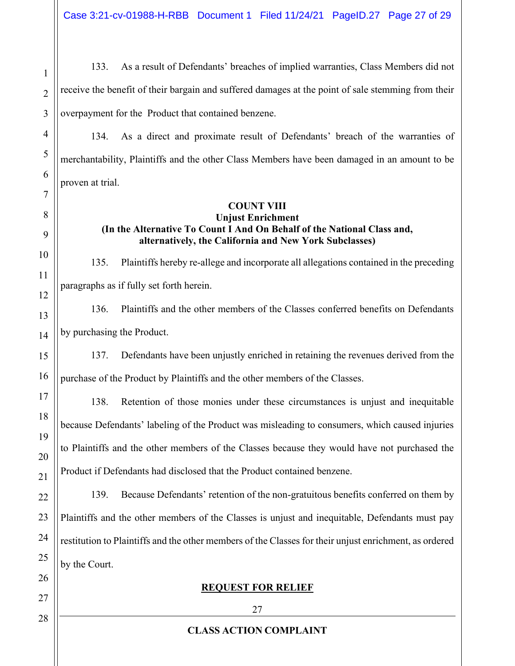Case 3:21-cv-01988-H-RBB Document 1 Filed 11/24/21 PageID.27 Page 27 of 29

133. As a result of Defendants' breaches of implied warranties, Class Members did not receive the benefit of their bargain and suffered damages at the point of sale stemming from their overpayment for the Product that contained benzene.

134. As a direct and proximate result of Defendants' breach of the warranties of merchantability, Plaintiffs and the other Class Members have been damaged in an amount to be proven at trial.

## **COUNT VIII**

## **Unjust Enrichment (In the Alternative To Count I And On Behalf of the National Class and, alternatively, the California and New York Subclasses)**

135. Plaintiffs hereby re-allege and incorporate all allegations contained in the preceding paragraphs as if fully set forth herein.

136. Plaintiffs and the other members of the Classes conferred benefits on Defendants by purchasing the Product.

137. Defendants have been unjustly enriched in retaining the revenues derived from the purchase of the Product by Plaintiffs and the other members of the Classes.

138. Retention of those monies under these circumstances is unjust and inequitable because Defendants' labeling of the Product was misleading to consumers, which caused injuries to Plaintiffs and the other members of the Classes because they would have not purchased the Product if Defendants had disclosed that the Product contained benzene.

139. Because Defendants' retention of the non-gratuitous benefits conferred on them by Plaintiffs and the other members of the Classes is unjust and inequitable, Defendants must pay restitution to Plaintiffs and the other members of the Classes for their unjust enrichment, as ordered by the Court.

# **REQUEST FOR RELIEF**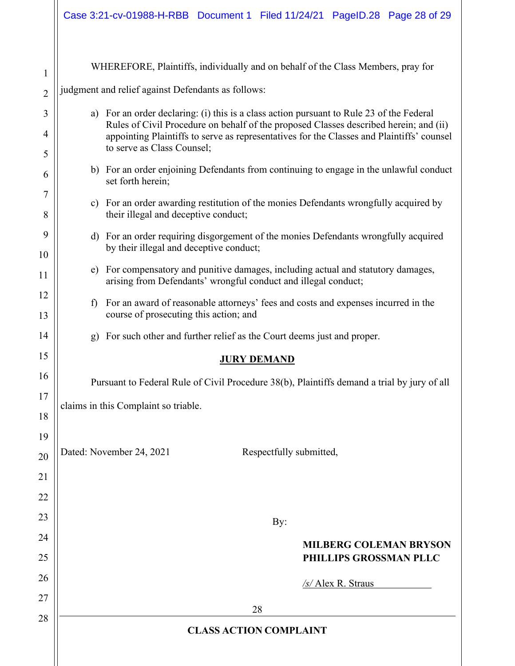|                       | WHEREFORE, Plaintiffs, individually and on behalf of the Class Members, pray for                                                                                                  |  |  |
|-----------------------|-----------------------------------------------------------------------------------------------------------------------------------------------------------------------------------|--|--|
| $\mathbf{1}$          |                                                                                                                                                                                   |  |  |
| $\overline{2}$        | judgment and relief against Defendants as follows:                                                                                                                                |  |  |
| 3                     | a) For an order declaring: (i) this is a class action pursuant to Rule 23 of the Federal<br>Rules of Civil Procedure on behalf of the proposed Classes described herein; and (ii) |  |  |
| $\overline{4}$        | appointing Plaintiffs to serve as representatives for the Classes and Plaintiffs' counsel<br>to serve as Class Counsel;                                                           |  |  |
| 5                     |                                                                                                                                                                                   |  |  |
| 6                     | b) For an order enjoining Defendants from continuing to engage in the unlawful conduct<br>set forth herein;                                                                       |  |  |
| $\boldsymbol{7}$<br>8 | For an order awarding restitution of the monies Defendants wrongfully acquired by<br>$\mathbf{c})$<br>their illegal and deceptive conduct;                                        |  |  |
| 9                     | d) For an order requiring disgorgement of the monies Defendants wrongfully acquired                                                                                               |  |  |
| 10                    | by their illegal and deceptive conduct;                                                                                                                                           |  |  |
| 11                    | For compensatory and punitive damages, including actual and statutory damages,<br>e)<br>arising from Defendants' wrongful conduct and illegal conduct;                            |  |  |
| 12                    | For an award of reasonable attorneys' fees and costs and expenses incurred in the<br>$\mathbf{f}$                                                                                 |  |  |
| 13                    | course of prosecuting this action; and                                                                                                                                            |  |  |
| 14                    | For such other and further relief as the Court deems just and proper.<br>g)                                                                                                       |  |  |
| 15                    | <b>JURY DEMAND</b>                                                                                                                                                                |  |  |
| 16                    | Pursuant to Federal Rule of Civil Procedure 38(b), Plaintiffs demand a trial by jury of all                                                                                       |  |  |
| 17                    | claims in this Complaint so triable.                                                                                                                                              |  |  |
| 18                    |                                                                                                                                                                                   |  |  |
| 19                    |                                                                                                                                                                                   |  |  |
| 20                    | Dated: November 24, 2021<br>Respectfully submitted,                                                                                                                               |  |  |
| 21                    |                                                                                                                                                                                   |  |  |
| 22                    |                                                                                                                                                                                   |  |  |
| 23                    | By:                                                                                                                                                                               |  |  |
| 24                    | <b>MILBERG COLEMAN BRYSON</b>                                                                                                                                                     |  |  |
| 25                    | PHILLIPS GROSSMAN PLLC                                                                                                                                                            |  |  |
| 26                    | /s/ Alex R. Straus                                                                                                                                                                |  |  |
| 27                    | 28                                                                                                                                                                                |  |  |
| 28                    | <b>CLASS ACTION COMPLAINT</b>                                                                                                                                                     |  |  |